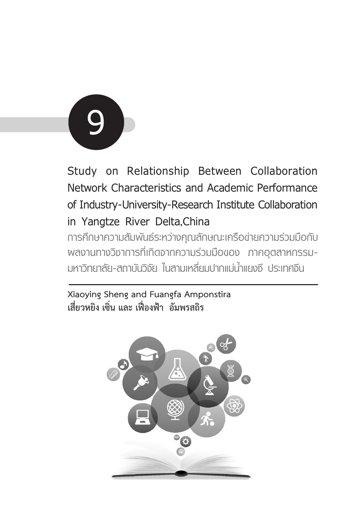

**Study on Relationship Between Collaboration Network Characteristics and Academic Performance of Industry-University-Research Institute Collaboration in Yangtze River Delta,China**

**การศึกษาความสัมพันธ์ระหว่างคุณลักษณะเครือข่ายความร่วมมือกับ ผลงานทางวิชาการที่เกิดจากความร่วมมือของ ภาคอุตสาหกรรม-มหาวิทยาลัย-สถาบันวิจัย ในสามเหลี่ยมปากแม่น้ำ แยงซี ประเทศจีน**

**Xiaoying Sheng and Fuangfa Amponstira เสี่ยวหยิง เซิ่น และ เฟื่องฟ้า อัมพรสถิร**

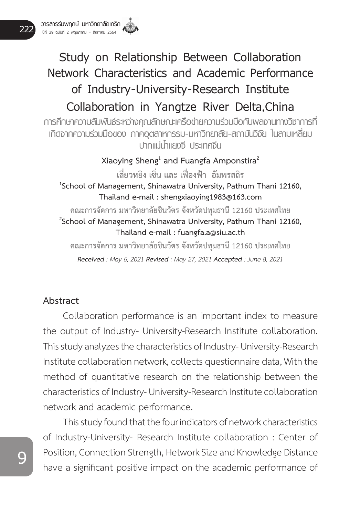**Study on Relationship Between Collaboration Network Characteristics and Academic Performance of Industry-University-Research Institute Collaboration in Yangtze River Delta,China การศึกษาความสัมพันธ์ระหว่างคุณลักษณะเครือข่ายความร่วมมือกับผลงานทางวิชาการที่ เกิดจากความร่วมมือของ ภาคอุตสาหกรรม-มหาวิทยาลัย-สถาบันวิจัย ในสามเหลี่ยม ปากแม่น้ำแยงซี ประเทศจีน Xiaoying Sheng1 and Fuangfa Amponstira2 เสี่ยวหยิง เซิ่น และ เฟื่องฟ้า อัมพรสถิร <sup>1</sup> School of Management, Shinawatra University, Pathum Thani 12160, Thailand e-mail : shengxiaoying1983@163.com คณะการจัดการ มหาวิทยาลัยชินวัตร จังหวัดปทุมธานี 12160 ประเทศไทย <sup>2</sup> School of Management, Shinawatra University, Pathum Thani 12160, Thailand e-mail : fuangfa.a@siu.ac.th คณะการจัดการ มหาวิทยาลัยชินวัตร จังหวัดปทุมธานี 12160 ประเทศไทย** *Received : May 6, 2021 Revised : May 27, 2021 Accepted : June 8, 2021*

### **Abstract**

Collaboration performance is an important index to measure the output of Industry- University-Research Institute collaboration. This study analyzes the characteristics of Industry- University-Research Institute collaboration network, collects questionnaire data, With the method of quantitative research on the relationship between the characteristics of Industry- University-Research Institute collaboration network and academic performance.

This study found that the four indicators of network characteristics of Industry-University- Research Institute collaboration : Center of Position, Connection Strength, Hetwork Size and Knowledge Distance have a significant positive impact on the academic performance of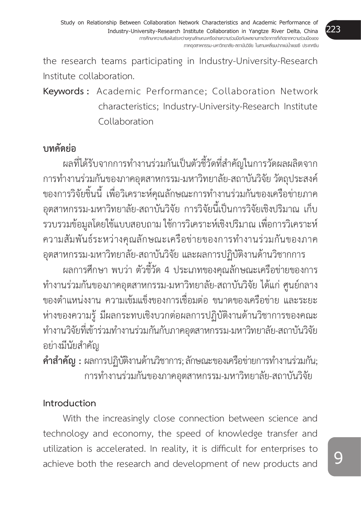the research teams participating in Industry-University-Research Institute collaboration.

**Keywords :** Academic Performance; Collaboration Network characteristics; Industry-University-Research Institute Collaboration

# **บทคัดย่อ**

ผลที่ได้รับจากการทำงานร่วมกันเป็นตัวชี้วัดที่สำคัญในการวัดผลผลิตจาก <u>in the contract of the contract of the contract of the contract of the contract of the contract of the contract of the contract of the contract of the contract of the contract of the contract of the contract of the contra</u> การทำงานร่วมกันของภาคอุตสาหกรรม-มหาวิทยาลัย-สถาบันวิจัย วัตถุประสงค์ ้ของการวิจัยชิ้นนี้ เพื่อวิเคราะห์คุณลักษณะการทำงานร่วมกันของเครือข่ายภาค ้อุตสาหกรรม-มหาวิทยาลัย-สถาบันวิจัย การวิจัยนี้เป็นการวิจัยเชิงปริมาณ เก็บ รวบรวมข้อมูลโดยใช้แบบสอบถาม ใช้การวิเคราะห์เชิงปริมาณ เพื่อการวิเคราะห์ ความสััมพัันธ์์ระหว่่างคุุณลัักษณะเครืือข่่ายของการทำำ งานร่่วมกัันของภาค ้อตสาหกรรม-มหาวิทยาลัย-สถาบันวิจัย และผลการปฏิบัติงานด้านวิชากการ

้ผลการศึกษา พบว่า ตัวชี้วัด 4 ประเภทของคุณลักษณะเครือข่ายของการ ทำำ งานร่่วมกัันของภาคอุตสุ าหกรรม-มหาวิิทยาลััย-สถาบัันวิิจััย ได้้แก่่ ศููนย์์กลาง ้ของตำแหน่งงาน ความเข้มแข็งของการเชื่อมต่อ ขนาดของเครือข่าย และระยะ ห่่างของความรู้้ มีีผลกระทบเชิิงบวกต่่อผลการปฏิิบััติิงานด้้านวิิชาการของคณะ ทำงานวิจัยที่เข้าร่วมทำงานร่วมกันกับภาคอุตสาหกรรม-มหาวิทยาลัย-สถาบันวิจัย ้อย่างมีนัยสำคัญ

**คำำ�สำำ�คััญ :** ผลการปฏิิบัติัิงานด้้านวิชิาการ; ลัักษณะของเครืือข่่ายการทำำงานร่่วมกััน; การทำำ งานร่่วมกัันของภาคอุตสุ าหกรรม-มหาวิิทยาลััย-สถาบัันวิจัิัย

## **Introduction**

With the increasingly close connection between science and technology and economy, the speed of knowledge transfer and utilization is accelerated. In reality, it is difficult for enterprises to achieve both the research and development of new products and

**223**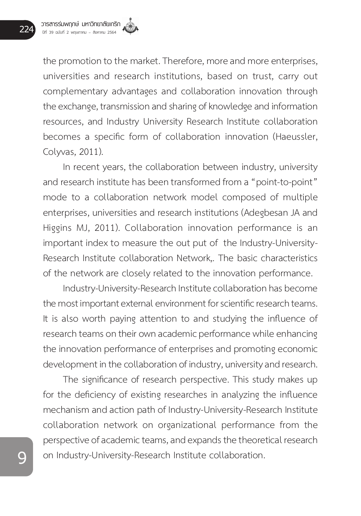the promotion to the market. Therefore, more and more enterprises, universities and research institutions, based on trust, carry out complementary advantages and collaboration innovation through the exchange, transmission and sharing of knowledge and information resources, and Industry University Research Institute collaboration becomes a specific form of collaboration innovation (Haeussler, Colyvas, 2011).

In recent years, the collaboration between industry, university and research institute has been transformed from a "point-to-point" mode to a collaboration network model composed of multiple enterprises, universities and research institutions (Adegbesan JA and Higgins MJ, 2011). Collaboration innovation performance is an important index to measure the out put of the Industry-University-Research Institute collaboration Network,. The basic characteristics of the network are closely related to the innovation performance.

Industry-University-Research Institute collaboration has become the most important external environment for scientific research teams. It is also worth paying attention to and studying the influence of research teams on their own academic performance while enhancing the innovation performance of enterprises and promoting economic development in the collaboration of industry, university and research.

 The significance of research perspective. This study makes up for the deficiency of existing researches in analyzing the influence mechanism and action path of Industry-University-Research Institute collaboration network on organizational performance from the perspective of academic teams, and expands the theoretical research on Industry-University-Research Institute collaboration.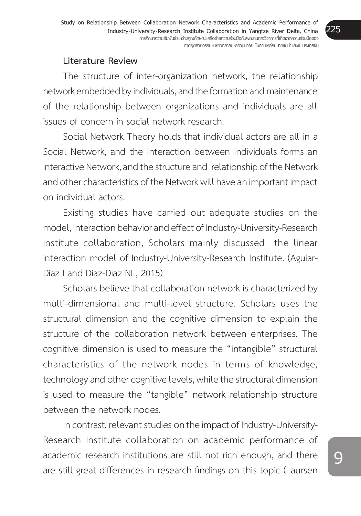### **Literature Review**

The structure of inter-organization network, the relationship network embedded by individuals, and the formation and maintenance of the relationship between organizations and individuals are all issues of concern in social network research.

Social Network Theory holds that individual actors are all in a Social Network, and the interaction between individuals forms an interactive Network, and the structure and relationship of the Network and other characteristics of the Network will have an important impact on individual actors.

Existing studies have carried out adequate studies on the model, interaction behavior and effect of Industry-University-Research Institute collaboration, Scholars mainly discussed the linear interaction model of Industry-University-Research Institute. (Aguiar-Díaz I and Díaz-Díaz NL, 2015)

Scholars believe that collaboration network is characterized by multi-dimensional and multi-level structure. Scholars uses the structural dimension and the cognitive dimension to explain the structure of the collaboration network between enterprises. The cognitive dimension is used to measure the "intangible" structural characteristics of the network nodes in terms of knowledge, technology and other cognitive levels, while the structural dimension is used to measure the "tangible" network relationship structure between the network nodes.

In contrast, relevant studies on the impact of Industry-University-Research Institute collaboration on academic performance of academic research institutions are still not rich enough, and there are still great differences in research findings on this topic (Laursen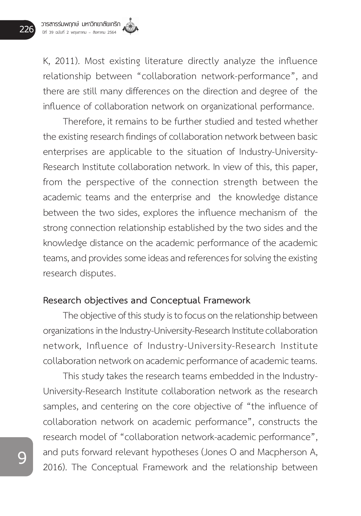K, 2011). Most existing literature directly analyze the influence relationship between "collaboration network-performance", and there are still many differences on the direction and degree of the influence of collaboration network on organizational performance.

Therefore, it remains to be further studied and tested whether the existing research findings of collaboration network between basic enterprises are applicable to the situation of Industry-University-Research Institute collaboration network. In view of this, this paper, from the perspective of the connection strength between the academic teams and the enterprise and the knowledge distance between the two sides, explores the influence mechanism of the strong connection relationship established by the two sides and the knowledge distance on the academic performance of the academic teams, and provides some ideas and references for solving the existing research disputes.

### **Research objectives and Conceptual Framework**

The objective of this study is to focus on the relationship between organizations in the Industry-University-Research Institute collaboration network, Influence of Industry-University-Research Institute collaboration network on academic performance of academic teams.

This study takes the research teams embedded in the Industry-University-Research Institute collaboration network as the research samples, and centering on the core objective of "the influence of collaboration network on academic performance", constructs the research model of "collaboration network-academic performance", and puts forward relevant hypotheses (Jones O and Macpherson A, 2016). The Conceptual Framework and the relationship between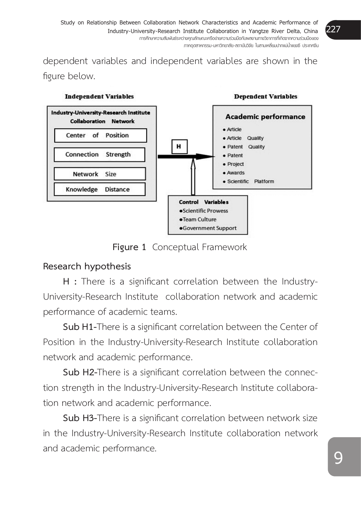dependent variables and independent variables are shown in the figure below.



Figure 1 Conceptual Framework

## **Research hypothesis**

H : There is a significant correlation between the Industry-University-Research Institute collaboration network and academic performance of academic teams.

**Sub H1-**There is a significant correlation between the Center of Position in the Industry-University-Research Institute collaboration network and academic performance.

**Sub H2-**There is a significant correlation between the connection strength in the Industry-University-Research Institute collaboration network and academic performance.

**Sub H3-**There is a significant correlation between network size in the Industry-University-Research Institute collaboration network and academic performance.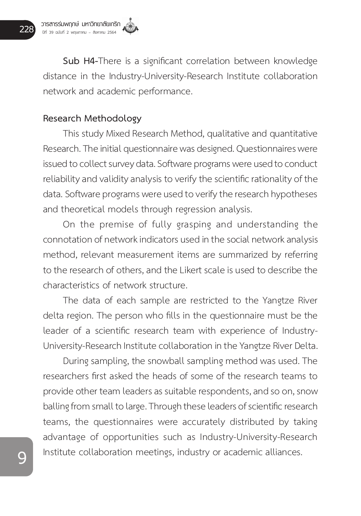**Sub H4-**There is a significant correlation between knowledge distance in the Industry-University-Research Institute collaboration network and academic performance.

#### **Research Methodology**

This study Mixed Research Method, qualitative and quantitative Research. The initial questionnaire was designed. Questionnaires were issued to collect survey data. Software programs were used to conduct reliability and validity analysis to verify the scientific rationality of the data. Software programs were used to verify the research hypotheses and theoretical models through regression analysis.

On the premise of fully grasping and understanding the connotation of network indicators used in the social network analysis method, relevant measurement items are summarized by referring to the research of others, and the Likert scale is used to describe the characteristics of network structure.

The data of each sample are restricted to the Yangtze River delta region. The person who fills in the questionnaire must be the leader of a scientific research team with experience of Industry-University-Research Institute collaboration in the Yangtze River Delta.

During sampling, the snowball sampling method was used. The researchers first asked the heads of some of the research teams to provide other team leaders as suitable respondents, and so on, snow balling from small to large. Through these leaders of scientific research teams, the questionnaires were accurately distributed by taking advantage of opportunities such as Industry-University-Research Institute collaboration meetings, industry or academic alliances.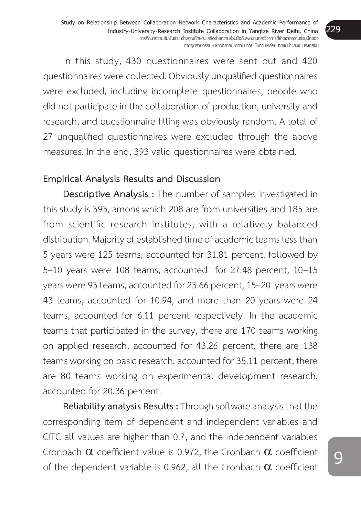In this study, 430 questionnaires were sent out and 420 questionnaires were collected. Obviously unqualified questionnaires were excluded, including incomplete questionnaires, people who did not participate in the collaboration of production, university and research, and questionnaire filling was obviously random. A total of 27 unqualified questionnaires were excluded through the above measures. In the end, 393 valid questionnaires were obtained.

### **Empirical Analysis Results and Discussion**

**Descriptive Analysis :** The number of samples investigated in this study is 393, among which 208 are from universities and 185 are from scientific research institutes, with a relatively balanced distribution. Majority of established time of academic teams less than 5 years were 125 teams, accounted for 31.81 percent, followed by 5–10 years were 108 teams, accounted for 27.48 percent, 10–15 years were 93 teams, accounted for 23.66 percent, 15–20 years were 43 teams, accounted for 10.94, and more than 20 years were 24 teams, accounted for 6.11 percent respectively. In the academic teams that participated in the survey, there are 170 teams working on applied research, accounted for 43.26 percent, there are 138 teams working on basic research, accounted for 35.11 percent, there are 80 teams working on experimental development research, accounted for 20.36 percent.

**Reliability analysis Results :** Through software analysis that the corresponding item of dependent and independent variables and CITC all values are higher than 0.7, and the independent variables Cronbach  $\alpha$  coefficient value is 0.972, the Cronbach  $\alpha$  coefficient of the dependent variable is 0.962, all the Cronbach  $\alpha$  coefficient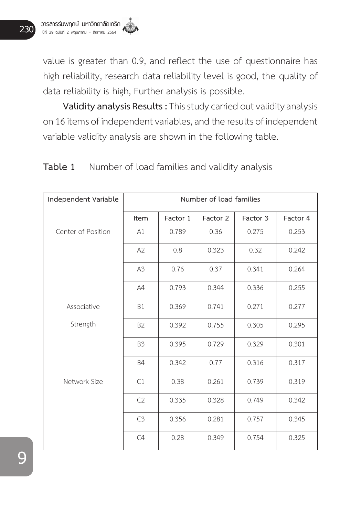value is greater than 0.9, and reflect the use of questionnaire has high reliability, research data reliability level is good, the quality of data reliability is high, Further analysis is possible.

**Validity analysis Results :** This study carried out validity analysis on 16 items of independent variables, and the results of independent variable validity analysis are shown in the following table.

| Independent Variable | Number of load families |          |          |          |          |  |  |
|----------------------|-------------------------|----------|----------|----------|----------|--|--|
|                      | Item                    | Factor 1 | Factor 2 | Factor 3 | Factor 4 |  |  |
| Center of Position   | A1                      | 0.789    | 0.36     | 0.275    | 0.253    |  |  |
|                      | A2                      | 0.8      | 0.323    | 0.32     | 0.242    |  |  |
|                      | A3                      | 0.76     | 0.37     | 0.341    | 0.264    |  |  |
|                      | A4                      | 0.793    | 0.344    | 0.336    | 0.255    |  |  |
| Associative          | <b>B1</b>               | 0.369    | 0.741    | 0.271    | 0.277    |  |  |
| Strength             | <b>B2</b>               | 0.392    | 0.755    | 0.305    | 0.295    |  |  |
|                      | B <sub>3</sub>          | 0.395    | 0.729    | 0.329    | 0.301    |  |  |
|                      | <b>B4</b>               | 0.342    | 0.77     | 0.316    | 0.317    |  |  |
| Network Size         | C1                      | 0.38     | 0.261    | 0.739    | 0.319    |  |  |
|                      | C2                      | 0.335    | 0.328    | 0.749    | 0.342    |  |  |
|                      | C3                      | 0.356    | 0.281    | 0.757    | 0.345    |  |  |
|                      | C4                      | 0.28     | 0.349    | 0.754    | 0.325    |  |  |

**Table 1** Number of load families and validity analysis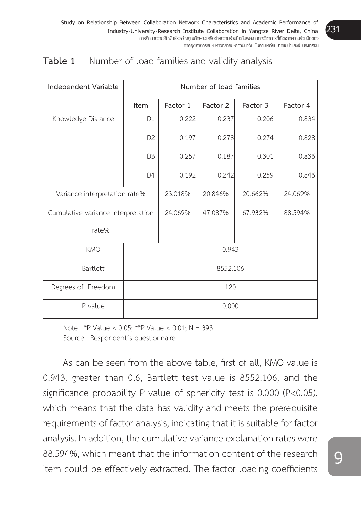| Independent Variable               | Number of load families |          |          |          |          |  |  |
|------------------------------------|-------------------------|----------|----------|----------|----------|--|--|
|                                    | Item                    | Factor 1 | Factor 2 | Factor 3 | Factor 4 |  |  |
| Knowledge Distance                 | D <sub>1</sub>          | 0.222    | 0.237    | 0.206    | 0.834    |  |  |
|                                    | D <sub>2</sub>          | 0.197    | 0.278    | 0.274    | 0.828    |  |  |
|                                    | D <sub>3</sub>          | 0.257    | 0.187    | 0.301    | 0.836    |  |  |
|                                    | D <sub>4</sub>          | 0.192    | 0.242    | 0.259    | 0.846    |  |  |
| Variance interpretation rate%      |                         | 23.018%  | 20.846%  | 20.662%  | 24.069%  |  |  |
| Cumulative variance interpretation |                         | 24.069%  | 47.087%  | 67.932%  | 88.594%  |  |  |
| rate%                              |                         |          |          |          |          |  |  |
| <b>KMO</b>                         | 0.943                   |          |          |          |          |  |  |
| Bartlett                           | 8552.106                |          |          |          |          |  |  |
| Degrees of Freedom                 | 120                     |          |          |          |          |  |  |
| P value                            | 0.000                   |          |          |          |          |  |  |

 Note : \*P Value ≤ 0.05; \*\*P Value ≤ 0.01; N = 393 Source : Respondent's questionnaire

 As can be seen from the above table, first of all, KMO value is 0.943, greater than 0.6, Bartlett test value is 8552.106, and the significance probability P value of sphericity test is 0.000 (P<0.05), which means that the data has validity and meets the prerequisite requirements of factor analysis, indicating that it is suitable for factor analysis. In addition, the cumulative variance explanation rates were 88.594%, which meant that the information content of the research item could be effectively extracted. The factor loading coefficients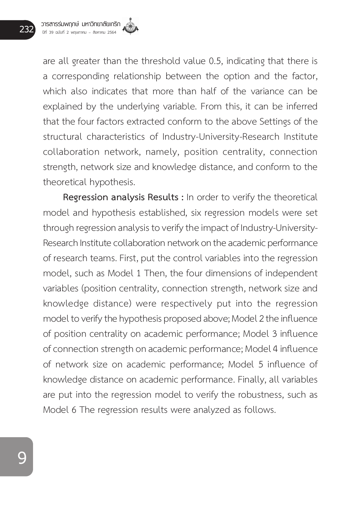are all greater than the threshold value 0.5, indicating that there is a corresponding relationship between the option and the factor, which also indicates that more than half of the variance can be explained by the underlying variable. From this, it can be inferred that the four factors extracted conform to the above Settings of the structural characteristics of Industry-University-Research Institute collaboration network, namely, position centrality, connection strength, network size and knowledge distance, and conform to the theoretical hypothesis.

**Regression analysis Results :** In order to verify the theoretical model and hypothesis established, six regression models were set through regression analysis to verify the impact of Industry-University-Research Institute collaboration network on the academic performance of research teams. First, put the control variables into the regression model, such as Model 1 Then, the four dimensions of independent variables (position centrality, connection strength, network size and knowledge distance) were respectively put into the regression model to verify the hypothesis proposed above; Model 2 the influence of position centrality on academic performance; Model 3 influence of connection strength on academic performance; Model 4 influence of network size on academic performance; Model 5 influence of knowledge distance on academic performance. Finally, all variables are put into the regression model to verify the robustness, such as Model 6 The regression results were analyzed as follows.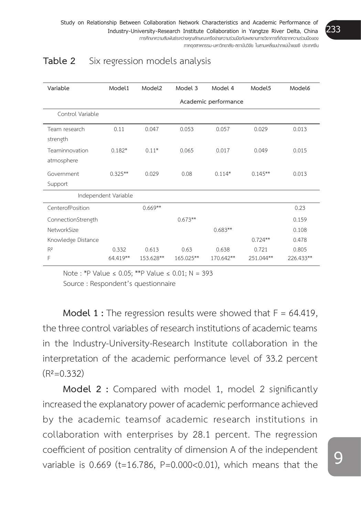| Variable                     | Model1               | Model <sub>2</sub> | Model 3           | Model 4            | Model <sub>5</sub> | Model6             |  |  |
|------------------------------|----------------------|--------------------|-------------------|--------------------|--------------------|--------------------|--|--|
|                              | Academic performance |                    |                   |                    |                    |                    |  |  |
| Control Variable             |                      |                    |                   |                    |                    |                    |  |  |
| Team research<br>strength    | 0.11                 | 0.047              | 0.053             | 0.057              | 0.029              | 0.013              |  |  |
| Teaminnovation<br>atmosphere | $0.182*$             | $0.11*$            | 0.065             | 0.017              | 0.049              | 0.015              |  |  |
| Government<br>Support        | $0.325***$           | 0.029              | 0.08              | $0.114*$           | $0.145**$          | 0.013              |  |  |
|                              | Independent Variable |                    |                   |                    |                    |                    |  |  |
| CenterofPosition             |                      | $0.669**$          |                   |                    |                    | 0.23               |  |  |
| ConnectionStrength           |                      |                    | $0.673**$         |                    |                    | 0.159              |  |  |
| NetworkSize                  |                      |                    |                   | $0.683**$          |                    | 0.108              |  |  |
| Knowledge Distance           |                      |                    |                   |                    | $0.724**$          | 0.478              |  |  |
| $R^2$<br>F                   | 0.332<br>64.419**    | 0.613<br>153.628** | 0.63<br>165.025** | 0.638<br>170.642** | 0.721<br>251.044** | 0.805<br>226.433** |  |  |

## **Table 2** Six regression models analysis

 Note : \*P Value ≤ 0.05; \*\*P Value ≤ 0.01; N = 393

Source : Respondent's questionnaire

**Model 1 :** The regression results were showed that F = 64.419, the three control variables of research institutions of academic teams in the Industry-University-Research Institute collaboration in the interpretation of the academic performance level of 33.2 percent  $(R<sup>2</sup>=0.332)$ 

**Model 2 :** Compared with model 1, model 2 significantly increased the explanatory power of academic performance achieved by the academic teamsof academic research institutions in collaboration with enterprises by 28.1 percent. The regression coefficient of position centrality of dimension A of the independent variable is 0.669 (t=16.786, P=0.000<0.01), which means that the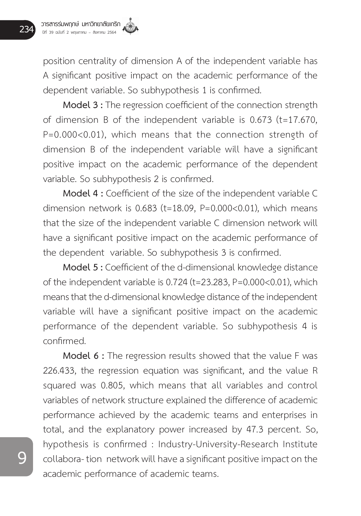position centrality of dimension A of the independent variable has A significant positive impact on the academic performance of the dependent variable. So subhypothesis 1 is confirmed.

**Model 3 :** The regression coefficient of the connection strength of dimension B of the independent variable is 0.673 (t=17.670, P=0.000<0.01), which means that the connection strength of dimension B of the independent variable will have a significant positive impact on the academic performance of the dependent variable. So subhypothesis 2 is confirmed.

**Model 4 :** Coefficient of the size of the independent variable C dimension network is 0.683 (t=18.09, P=0.000<0.01), which means that the size of the independent variable C dimension network will have a significant positive impact on the academic performance of the dependent variable. So subhypothesis 3 is confirmed.

**Model 5 :** Coefficient of the d-dimensional knowledge distance of the independent variable is 0.724 (t=23.283, P=0.000<0.01), which means that the d-dimensional knowledge distance of the independent variable will have a significant positive impact on the academic performance of the dependent variable. So subhypothesis 4 is confirmed.

**Model 6 :** The regression results showed that the value F was 226.433, the regression equation was significant, and the value R squared was 0.805, which means that all variables and control variables of network structure explained the difference of academic performance achieved by the academic teams and enterprises in total, and the explanatory power increased by 47.3 percent. So, hypothesis is confirmed : Industry-University-Research Institute collabora- tion network will have a significant positive impact on the academic performance of academic teams.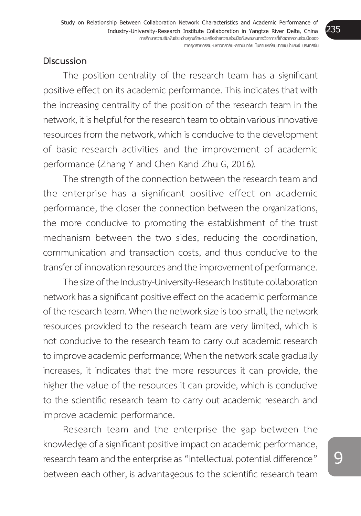### **Discussion**

 The position centrality of the research team has a significant positive effect on its academic performance. This indicates that with the increasing centrality of the position of the research team in the network, it is helpful for the research team to obtain various innovative resources from the network, which is conducive to the development of basic research activities and the improvement of academic performance (Zhang Y and Chen Kand Zhu G, 2016).

The strength of the connection between the research team and the enterprise has a significant positive effect on academic performance, the closer the connection between the organizations, the more conducive to promoting the establishment of the trust mechanism between the two sides, reducing the coordination, communication and transaction costs, and thus conducive to the transfer of innovation resources and the improvement of performance.

The size of the Industry-University-Research Institute collaboration network has a significant positive effect on the academic performance of the research team. When the network size is too small, the network resources provided to the research team are very limited, which is not conducive to the research team to carry out academic research to improve academic performance; When the network scale gradually increases, it indicates that the more resources it can provide, the higher the value of the resources it can provide, which is conducive to the scientific research team to carry out academic research and improve academic performance.

Research team and the enterprise the gap between the knowledge of a significant positive impact on academic performance, research team and the enterprise as "intellectual potential difference" between each other, is advantageous to the scientific research team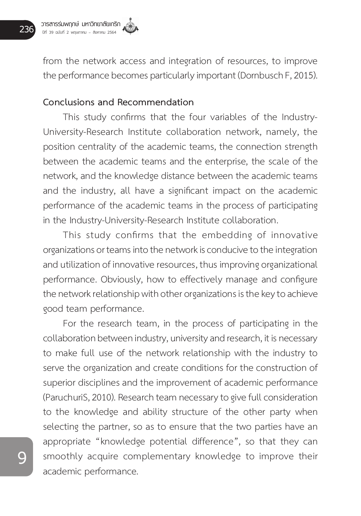from the network access and integration of resources, to improve the performance becomes particularly important (Dornbusch F, 2015).

#### **Conclusions and Recommendation**

 This study confirms that the four variables of the Industry-University-Research Institute collaboration network, namely, the position centrality of the academic teams, the connection strength between the academic teams and the enterprise, the scale of the network, and the knowledge distance between the academic teams and the industry, all have a significant impact on the academic performance of the academic teams in the process of participating in the Industry-University-Research Institute collaboration.

 This study confirms that the embedding of innovative organizations or teams into the network is conducive to the integration and utilization of innovative resources, thus improving organizational performance. Obviously, how to effectively manage and configure the network relationship with other organizations is the key to achieve good team performance.

For the research team, in the process of participating in the collaboration between industry, university and research, it is necessary to make full use of the network relationship with the industry to serve the organization and create conditions for the construction of superior disciplines and the improvement of academic performance (ParuchuriS, 2010). Research team necessary to give full consideration to the knowledge and ability structure of the other party when selecting the partner, so as to ensure that the two parties have an appropriate "knowledge potential difference", so that they can smoothly acquire complementary knowledge to improve their academic performance.